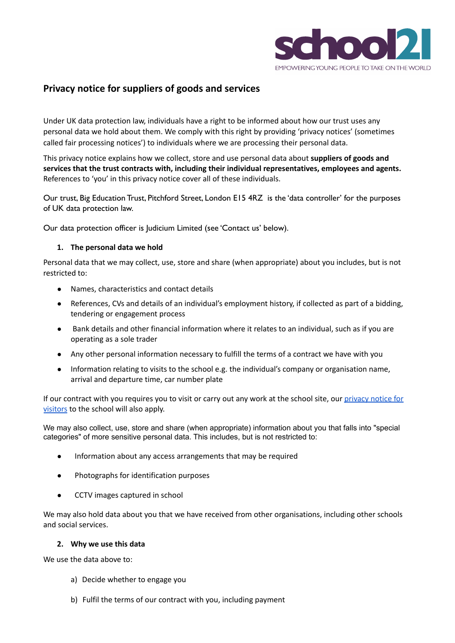

# **Privacy notice for suppliers of goods and services**

Under UK data protection law, individuals have a right to be informed about how our trust uses any personal data we hold about them. We comply with this right by providing 'privacy notices' (sometimes called fair processing notices') to individuals where we are processing their personal data.

This privacy notice explains how we collect, store and use personal data about **suppliers of goods and services that the trust contracts with, including their individual representatives, employees and agents.** References to 'you' in this privacy notice cover all of these individuals.

Our trust, Big Education Trust, Pitchford Street, London E15 4RZ is the 'data controller' for the purposes of UK data protection law.

Our data protection officer is Judicium Limited (see 'Contact us' below).

## **1. The personal data we hold**

Personal data that we may collect, use, store and share (when appropriate) about you includes, but is not restricted to:

- Names, characteristics and contact details
- References, CVs and details of an individual's employment history, if collected as part of a bidding, tendering or engagement process
- Bank details and other financial information where it relates to an individual, such as if you are operating as a sole trader
- Any other personal information necessary to fulfill the terms of a contract we have with you
- Information relating to visits to the school e.g. the individual's company or organisation name, arrival and departure time, car number plate

If our contract with you requires you to visit or carry out any work at the school site, our [privacy](https://drive.google.com/file/d/1O5_KGDYzU3Vm6LhKwKVIhFX51q39CdLO/view?usp=sharing) notice for [visitors](https://drive.google.com/file/d/1O5_KGDYzU3Vm6LhKwKVIhFX51q39CdLO/view?usp=sharing) to the school will also apply.

We may also collect, use, store and share (when appropriate) information about you that falls into "special categories" of more sensitive personal data. This includes, but is not restricted to:

- Information about any access arrangements that may be required
- Photographs for identification purposes
- CCTV images captured in school

We may also hold data about you that we have received from other organisations, including other schools and social services.

#### **2. Why we use this data**

We use the data above to:

- a) Decide whether to engage you
- b) Fulfil the terms of our contract with you, including payment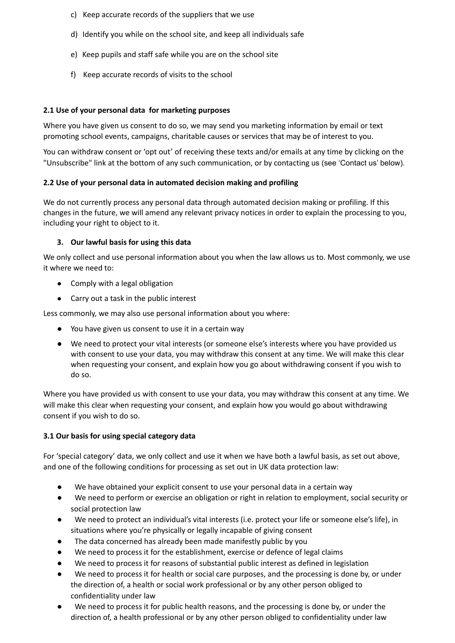- c) Keep accurate records of the suppliers that we use
- d) Identify you while on the school site, and keep all individuals safe
- e) Keep pupils and staff safe while you are on the school site
- f) Keep accurate records of visits to the school

## **2.1 Use of your personal data for marketing purposes**

Where you have given us consent to do so, we may send you marketing information by email or text promoting school events, campaigns, charitable causes or services that may be of interest to you.

You can withdraw consent or 'opt out' of receiving these texts and/or emails at any time by clicking on the "Unsubscribe" link at the bottom of any such communication, or by contacting us (see 'Contact us' below).

#### **2.2 Use of your personal data in automated decision making and profiling**

We do not currently process any personal data through automated decision making or profiling. If this changes in the future, we will amend any relevant privacy notices in order to explain the processing to you, including your right to object to it.

## **3. Our lawful basis for using this data**

We only collect and use personal information about you when the law allows us to. Most commonly, we use it where we need to:

- Comply with a legal obligation
- Carry out a task in the public interest

Less commonly, we may also use personal information about you where:

- You have given us consent to use it in a certain way
- We need to protect your vital interests (or someone else's interests where you have provided us with consent to use your data, you may withdraw this consent at any time. We will make this clear when requesting your consent, and explain how you go about withdrawing consent if you wish to do so.

Where you have provided us with consent to use your data, you may withdraw this consent at any time. We will make this clear when requesting your consent, and explain how you would go about withdrawing consent if you wish to do so.

#### **3.1 Our basis for using special category data**

For 'special category' data, we only collect and use it when we have both a lawful basis, as set out above, and one of the following conditions for processing as set out in UK data protection law:

- We have obtained your explicit consent to use your personal data in a certain way
- We need to perform or exercise an obligation or right in relation to employment, social security or social protection law
- We need to protect an individual's vital interests (i.e. protect your life or someone else's life), in situations where you're physically or legally incapable of giving consent
- The data concerned has already been made manifestly public by you
- We need to process it for the establishment, exercise or defence of legal claims
- We need to process it for reasons of substantial public interest as defined in legislation
- We need to process it for health or social care purposes, and the processing is done by, or under the direction of, a health or social work professional or by any other person obliged to confidentiality under law
- We need to process it for public health reasons, and the processing is done by, or under the direction of, a health professional or by any other person obliged to confidentiality under law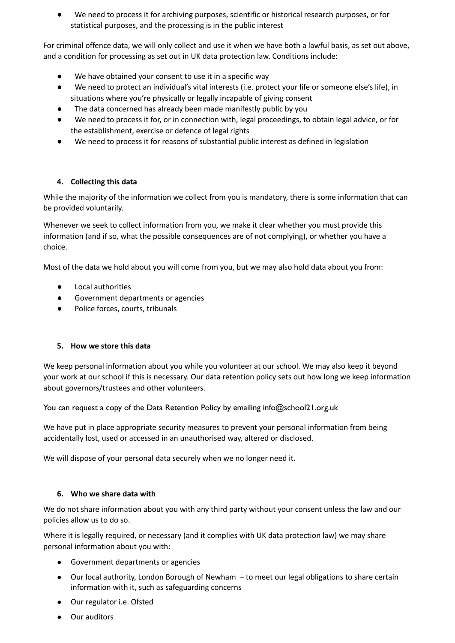We need to process it for archiving purposes, scientific or historical research purposes, or for statistical purposes, and the processing is in the public interest

For criminal offence data, we will only collect and use it when we have both a lawful basis, as set out above, and a condition for processing as set out in UK data protection law. Conditions include:

- We have obtained your consent to use it in a specific way
- We need to protect an individual's vital interests (i.e. protect your life or someone else's life), in situations where you're physically or legally incapable of giving consent
- The data concerned has already been made manifestly public by you
- We need to process it for, or in connection with, legal proceedings, to obtain legal advice, or for the establishment, exercise or defence of legal rights
- We need to process it for reasons of substantial public interest as defined in legislation

# **4. Collecting this data**

While the majority of the information we collect from you is mandatory, there is some information that can be provided voluntarily.

Whenever we seek to collect information from you, we make it clear whether you must provide this information (and if so, what the possible consequences are of not complying), or whether you have a choice.

Most of the data we hold about you will come from you, but we may also hold data about you from:

- Local authorities
- Government departments or agencies
- Police forces, courts, tribunals

# **5. How we store this data**

We keep personal information about you while you volunteer at our school. We may also keep it beyond your work at our school if this is necessary. Our data retention policy sets out how long we keep information about governors/trustees and other volunteers.

You can request a copy of the Data Retention Policy by emailing info@school21.org.uk

We have put in place appropriate security measures to prevent your personal information from being accidentally lost, used or accessed in an unauthorised way, altered or disclosed.

We will dispose of your personal data securely when we no longer need it.

#### **6. Who we share data with**

We do not share information about you with any third party without your consent unless the law and our policies allow us to do so.

Where it is legally required, or necessary (and it complies with UK data protection law) we may share personal information about you with:

- Government departments or agencies
- Our local authority, London Borough of Newham to meet our legal obligations to share certain information with it, such as safeguarding concerns
- Our regulator i.e. Ofsted
- Our auditors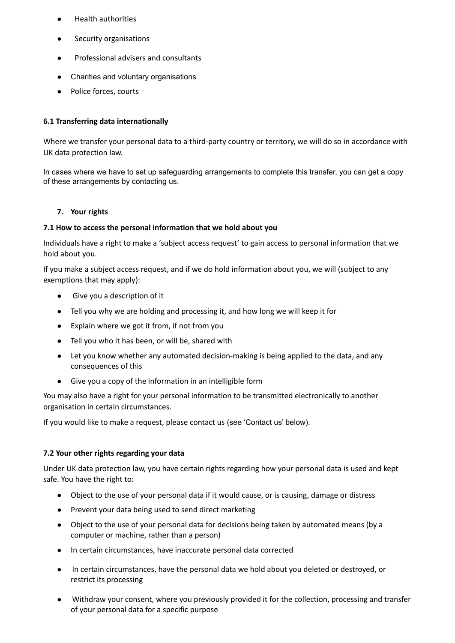- **Health authorities**
- Security organisations
- Professional advisers and consultants
- Charities and voluntary organisations
- Police forces, courts

#### **6.1 Transferring data internationally**

Where we transfer your personal data to a third-party country or territory, we will do so in accordance with UK data protection law.

In cases where we have to set up safeguarding arrangements to complete this transfer, you can get a copy of these arrangements by contacting us.

#### **7. Your rights**

#### **7.1 How to access the personal information that we hold about you**

Individuals have a right to make a 'subject access request' to gain access to personal information that we hold about you.

If you make a subject access request, and if we do hold information about you, we will (subject to any exemptions that may apply):

- Give you a description of it
- Tell you why we are holding and processing it, and how long we will keep it for
- Explain where we got it from, if not from you
- Tell you who it has been, or will be, shared with
- Let you know whether any automated decision-making is being applied to the data, and any consequences of this
- Give you a copy of the information in an intelligible form

You may also have a right for your personal information to be transmitted electronically to another organisation in certain circumstances.

If you would like to make a request, please contact us (see 'Contact us' below).

#### **7.2 Your other rights regarding your data**

Under UK data protection law, you have certain rights regarding how your personal data is used and kept safe. You have the right to:

- Object to the use of your personal data if it would cause, or is causing, damage or distress
- Prevent your data being used to send direct marketing
- Object to the use of your personal data for decisions being taken by automated means (by a computer or machine, rather than a person)
- In certain circumstances, have inaccurate personal data corrected
- In certain circumstances, have the personal data we hold about you deleted or destroyed, or restrict its processing
- Withdraw your consent, where you previously provided it for the collection, processing and transfer of your personal data for a specific purpose